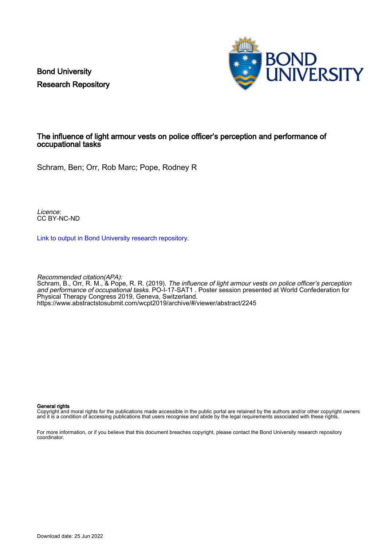Bond University Research Repository



#### The influence of light armour vests on police officer's perception and performance of occupational tasks

Schram, Ben; Orr, Rob Marc; Pope, Rodney R

Licence: CC BY-NC-ND

[Link to output in Bond University research repository.](https://research.bond.edu.au/en/publications/a2741cf4-ff48-4887-ac0f-e33d6055014b)

Recommended citation(APA): Schram, B., Orr, R. M., & Pope, R. R. (2019). The influence of light armour vests on police officer's perception and performance of occupational tasks. PO-I-17-SAT1 . Poster session presented at World Confederation for Physical Therapy Congress 2019, Geneva, Switzerland. <https://www.abstractstosubmit.com/wcpt2019/archive/#/viewer/abstract/2245>

#### General rights

Copyright and moral rights for the publications made accessible in the public portal are retained by the authors and/or other copyright owners and it is a condition of accessing publications that users recognise and abide by the legal requirements associated with these rights.

For more information, or if you believe that this document breaches copyright, please contact the Bond University research repository coordinator.